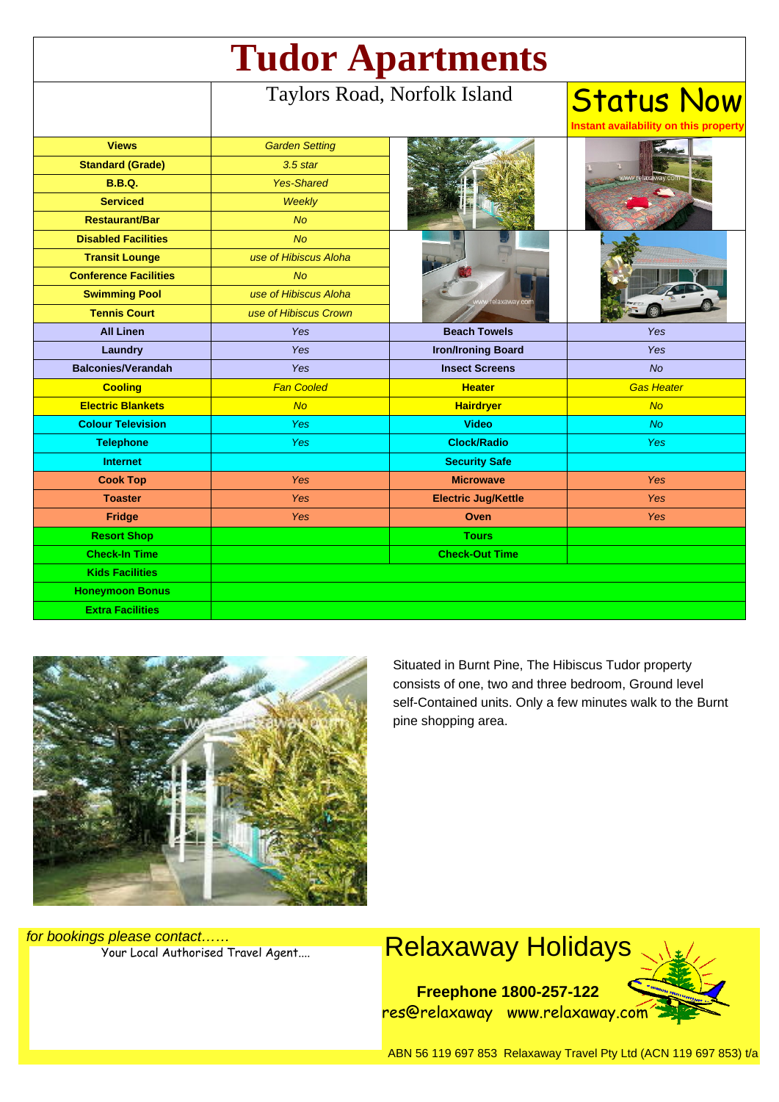| <b>Tudor Apartments</b>      |                              |                            |                                                            |
|------------------------------|------------------------------|----------------------------|------------------------------------------------------------|
|                              | Taylors Road, Norfolk Island |                            | <b>Status Now</b><br>Instant availability on this property |
| <b>Views</b>                 | <b>Garden Setting</b>        |                            |                                                            |
| <b>Standard (Grade)</b>      | $3.5$ star                   |                            |                                                            |
| <b>B.B.Q.</b>                | <b>Yes-Shared</b>            |                            |                                                            |
| <b>Serviced</b>              | <b>Weekly</b>                |                            |                                                            |
| <b>Restaurant/Bar</b>        | <b>No</b>                    |                            |                                                            |
| <b>Disabled Facilities</b>   | No                           |                            |                                                            |
| <b>Transit Lounge</b>        | use of Hibiscus Aloha        |                            |                                                            |
| <b>Conference Facilities</b> | <b>No</b>                    |                            |                                                            |
| <b>Swimming Pool</b>         | use of Hibiscus Aloha        | laxaway.cor                |                                                            |
| <b>Tennis Court</b>          | use of Hibiscus Crown        |                            |                                                            |
| <b>All Linen</b>             | <b>Yes</b>                   | <b>Beach Towels</b>        | Yes                                                        |
| Laundry                      | Yes                          | <b>Iron/Ironing Board</b>  | <b>Yes</b>                                                 |
| <b>Balconies/Verandah</b>    | Yes                          | <b>Insect Screens</b>      | <b>No</b>                                                  |
| <b>Cooling</b>               | <b>Fan Cooled</b>            | <b>Heater</b>              | <b>Gas Heater</b>                                          |
| <b>Electric Blankets</b>     | No                           | <b>Hairdryer</b>           | <b>No</b>                                                  |
| <b>Colour Television</b>     | Yes                          | <b>Video</b>               | <b>No</b>                                                  |
| <b>Telephone</b>             | Yes                          | <b>Clock/Radio</b>         | <b>Yes</b>                                                 |
| <b>Internet</b>              |                              | <b>Security Safe</b>       |                                                            |
| <b>Cook Top</b>              | Yes                          | <b>Microwave</b>           | Yes                                                        |
| <b>Toaster</b>               | Yes                          | <b>Electric Jug/Kettle</b> | Yes                                                        |
| Fridge                       | Yes                          | Oven                       | <b>Yes</b>                                                 |
| <b>Resort Shop</b>           |                              | <b>Tours</b>               |                                                            |
| <b>Check-In Time</b>         |                              | <b>Check-Out Time</b>      |                                                            |
| <b>Kids Facilities</b>       |                              |                            |                                                            |
| <b>Honeymoon Bonus</b>       |                              |                            |                                                            |
| <b>Extra Facilities</b>      |                              |                            |                                                            |



Situated in Burnt Pine, The Hibiscus Tudor property consists of one, two and three bedroom, Ground level self-Contained units. Only a few minutes walk to the Burnt pine shopping area.

for bookings please contact……